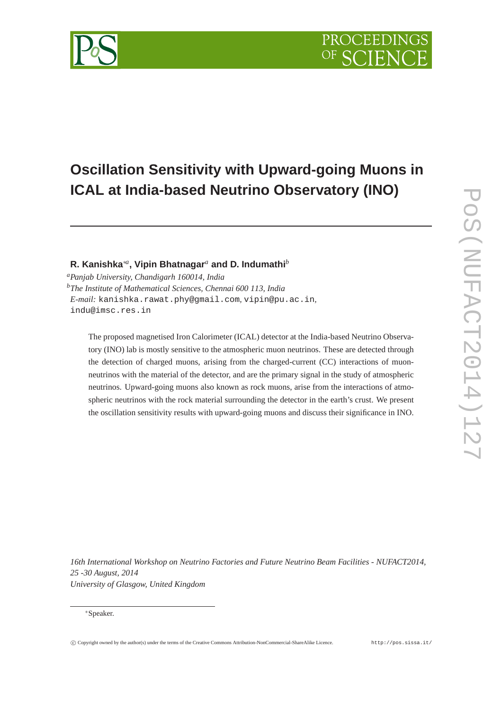



# **R. Kanishka**∗*<sup>a</sup>* **, Vipin Bhatnagar***<sup>a</sup>* **and D. Indumathi***<sup>b</sup>*

*<sup>a</sup>Panjab University, Chandigarh 160014, India <sup>b</sup>The Institute of Mathematical Sciences, Chennai 600 113, India E-mail:* kanishka.rawat.phy@gmail.com*,* vipin@pu.ac.in*,* indu@imsc.res.in

The proposed magnetised Iron Calorimeter (ICAL) detector at the India-based Neutrino Observatory (INO) lab is mostly sensitive to the atmospheric muon neutrinos. These are detected through the detection of charged muons, arising from the charged-current (CC) interactions of muonneutrinos with the material of the detector, and are the primary signal in the study of atmospheric neutrinos. Upward-going muons also known as rock muons, arise from the interactions of atmospheric neutrinos with the rock material surrounding the detector in the earth's crust. We present the oscillation sensitivity results with upward-going muons and discuss their significance in INO.

*16th International Workshop on Neutrino Factories and Future Neutrino Beam Facilities - NUFACT2014, 25 -30 August, 2014 University of Glasgow, United Kingdom*

<sup>∗</sup>Speaker.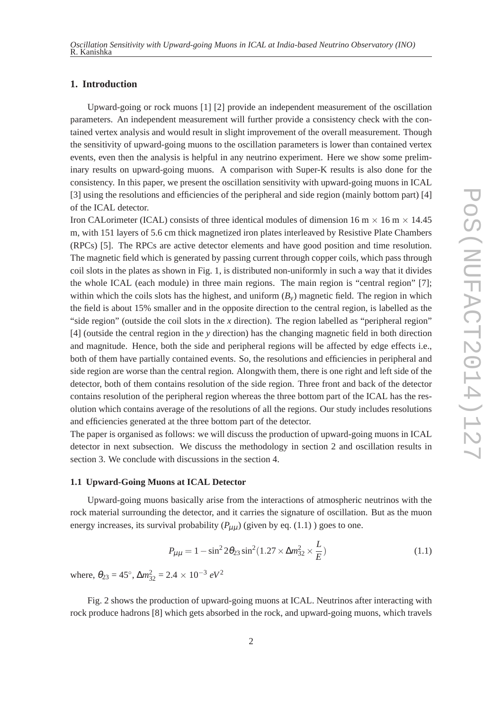# **1. Introduction**

Upward-going or rock muons [1] [2] provide an independent measurement of the oscillation parameters. An independent measurement will further provide a consistency check with the contained vertex analysis and would result in slight improvement of the overall measurement. Though the sensitivity of upward-going muons to the oscillation parameters is lower than contained vertex events, even then the analysis is helpful in any neutrino experiment. Here we show some preliminary results on upward-going muons. A comparison with Super-K results is also done for the consistency. In this paper, we present the oscillation sensitivity with upward-going muons in ICAL [3] using the resolutions and efficiencies of the peripheral and side region (mainly bottom part) [4] of the ICAL detector.

Iron CALorimeter (ICAL) consists of three identical modules of dimension 16 m  $\times$  16 m  $\times$  14.45 m, with 151 layers of 5.6 cm thick magnetized iron plates interleaved by Resistive Plate Chambers (RPCs) [5]. The RPCs are active detector elements and have good position and time resolution. The magnetic field which is generated by passing current through copper coils, which pass through coil slots in the plates as shown in Fig. 1, is distributed non-uniformly in such a way that it divides the whole ICAL (each module) in three main regions. The main region is "central region" [7]; within which the coils slots has the highest, and uniform  $(B<sub>v</sub>)$  magnetic field. The region in which the field is about 15% smaller and in the opposite direction to the central region, is labelled as the "side region" (outside the coil slots in the *x* direction). The region labelled as "peripheral region" [4] (outside the central region in the *y* direction) has the changing magnetic field in both direction and magnitude. Hence, both the side and peripheral regions will be affected by edge effects i.e., both of them have partially contained events. So, the resolutions and efficiencies in peripheral and side region are worse than the central region. Alongwith them, there is one right and left side of the detector, both of them contains resolution of the side region. Three front and back of the detector contains resolution of the peripheral region whereas the three bottom part of the ICAL has the resolution which contains average of the resolutions of all the regions. Our study includes resolutions and efficiencies generated at the three bottom part of the detector.

The paper is organised as follows: we will discuss the production of upward-going muons in ICAL detector in next subsection. We discuss the methodology in section 2 and oscillation results in section 3. We conclude with discussions in the section 4.

### **1.1 Upward-Going Muons at ICAL Detector**

Upward-going muons basically arise from the interactions of atmospheric neutrinos with the rock material surrounding the detector, and it carries the signature of oscillation. But as the muon energy increases, its survival probability  $(P_{\mu\mu})$  (given by eq. (1.1)) goes to one.

$$
P_{\mu\mu} = 1 - \sin^2 2\theta_{23} \sin^2 (1.27 \times \Delta m_{32}^2 \times \frac{L}{E})
$$
 (1.1)

where,  $\theta_{23} = 45^\circ$ ,  $\Delta m_{32}^2 = 2.4 \times 10^{-3} eV^2$ 

Fig. 2 shows the production of upward-going muons at ICAL. Neutrinos after interacting with rock produce hadrons [8] which gets absorbed in the rock, and upward-going muons, which travels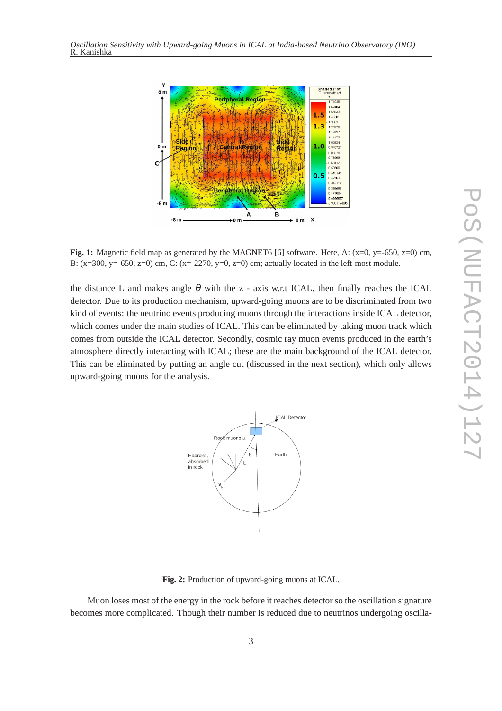

**Fig. 1:** Magnetic field map as generated by the MAGNET6 [6] software. Here, A: (x=0, y=-650, z=0) cm, B:  $(x=300, y=-650, z=0)$  cm, C:  $(x=-2270, y=0, z=0)$  cm; actually located in the left-most module.

the distance L and makes angle  $\theta$  with the z - axis w.r.t ICAL, then finally reaches the ICAL detector. Due to its production mechanism, upward-going muons are to be discriminated from two kind of events: the neutrino events producing muons through the interactions inside ICAL detector, which comes under the main studies of ICAL. This can be eliminated by taking muon track which comes from outside the ICAL detector. Secondly, cosmic ray muon events produced in the earth's atmosphere directly interacting with ICAL; these are the main background of the ICAL detector. This can be eliminated by putting an angle cut (discussed in the next section), which only allows upward-going muons for the analysis.



**Fig. 2:** Production of upward-going muons at ICAL.

Muon loses most of the energy in the rock before it reaches detector so the oscillation signature becomes more complicated. Though their number is reduced due to neutrinos undergoing oscilla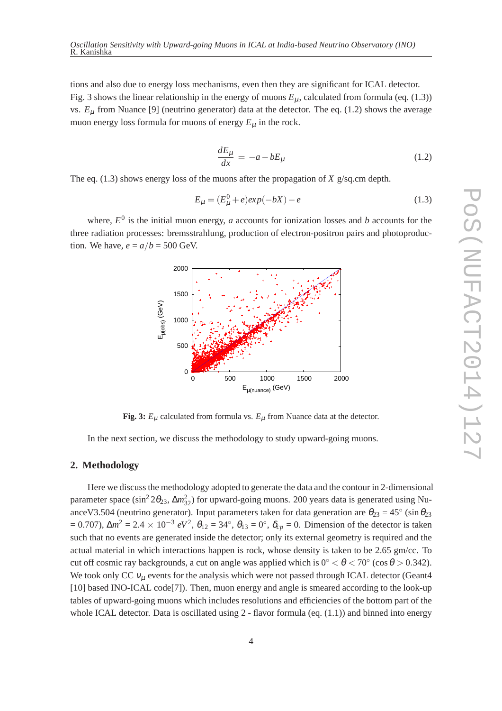tions and also due to energy loss mechanisms, even then they are significant for ICAL detector. Fig. 3 shows the linear relationship in the energy of muons  $E_{\mu}$ , calculated from formula (eq. (1.3)) vs. *E*<sup>µ</sup> from Nuance [9] (neutrino generator) data at the detector. The eq. (1.2) shows the average muon energy loss formula for muons of energy  $E_{\mu}$  in the rock.

$$
\frac{dE_{\mu}}{dx} = -a - bE_{\mu} \tag{1.2}
$$

The eq. (1.3) shows energy loss of the muons after the propagation of *X* g/sq.cm depth.

$$
E_{\mu} = (E_{\mu}^{0} + e)exp(-bX) - e
$$
\n(1.3)

where,  $E^0$  is the initial muon energy, *a* accounts for ionization losses and *b* accounts for the three radiation processes: bremsstrahlung, production of electron-positron pairs and photoproduction. We have,  $e = a/b = 500$  GeV.



**Fig. 3:**  $E_{\mu}$  calculated from formula vs.  $E_{\mu}$  from Nuance data at the detector.

In the next section, we discuss the methodology to study upward-going muons.

#### **2. Methodology**

Here we discuss the methodology adopted to generate the data and the contour in 2-dimensional parameter space (sin<sup>2</sup> 2θ<sub>23</sub>, Δm<sup>2</sup><sub>32</sub>) for upward-going muons. 200 years data is generated using NuanceV3.504 (neutrino generator). Input parameters taken for data generation are  $\theta_{23} = 45^\circ$  (sin  $\theta_{23}$  $= 0.707$ ), Δ*m*<sup>2</sup> = 2.4 × 10<sup>-3</sup> *eV*<sup>2</sup>, θ<sub>12</sub> = 34°, θ<sub>13</sub> = 0°, δ<sub>*cp*</sub> = 0. Dimension of the detector is taken such that no events are generated inside the detector; only its external geometry is required and the actual material in which interactions happen is rock, whose density is taken to be 2.65 gm/cc. To cut off cosmic ray backgrounds, a cut on angle was applied which is  $0^{\circ} < \theta < 70^{\circ}$  (cos  $\theta > 0.342$ ). We took only CC  $v_{\mu}$  events for the analysis which were not passed through ICAL detector (Geant4 [10] based INO-ICAL code<sup>[7]</sup>). Then, muon energy and angle is smeared according to the look-up tables of upward-going muons which includes resolutions and efficiencies of the bottom part of the whole ICAL detector. Data is oscillated using  $2$  - flavor formula (eq.  $(1.1)$ ) and binned into energy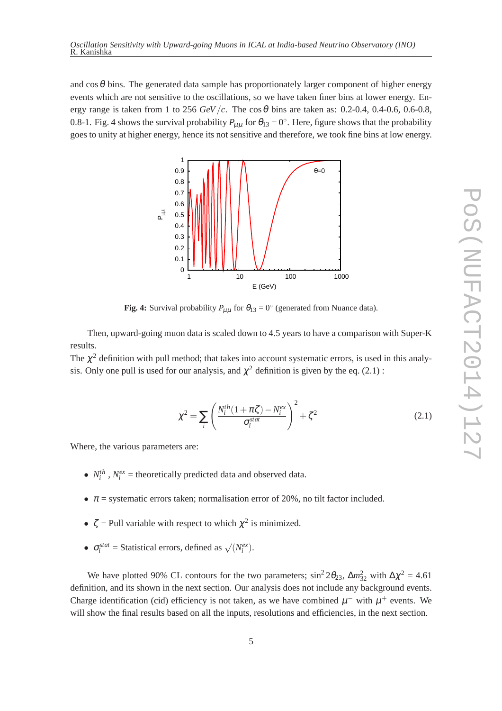and  $\cos\theta$  bins. The generated data sample has proportionately larger component of higher energy events which are not sensitive to the oscillations, so we have taken finer bins at lower energy. Energy range is taken from 1 to 256  $GeV/c$ . The cos  $\theta$  bins are taken as: 0.2-0.4, 0.4-0.6, 0.6-0.8, 0.8-1. Fig. 4 shows the survival probability  $P_{\mu\mu}$  for  $\theta_{13}=0^\circ$ . Here, figure shows that the probability goes to unity at higher energy, hence its not sensitive and therefore, we took fine bins at low energy.



**Fig. 4:** Survival probability  $P_{\mu\mu}$  for  $\theta_{13} = 0^\circ$  (generated from Nuance data).

Then, upward-going muon data is scaled down to 4.5 years to have a comparison with Super-K results.

The  $\chi^2$  definition with pull method; that takes into account systematic errors, is used in this analysis. Only one pull is used for our analysis, and  $\chi^2$  definition is given by the eq. (2.1):

$$
\chi^2 = \sum_{i} \left( \frac{N_i^{th}(1 + \pi \zeta) - N_i^{ex}}{\sigma_i^{stat}} \right)^2 + \zeta^2
$$
\n(2.1)

Where, the various parameters are:

- $N_i^{th}$ ,  $N_i^{ex}$  = theoretically predicted data and observed data.
- $\pi$  = systematic errors taken; normalisation error of 20%, no tilt factor included.
- $\zeta$  = Pull variable with respect to which  $\chi^2$  is minimized.
- $\sigma_i^{stat}$  = Statistical errors, defined as  $\sqrt{(N_i^{ex})}$ .

We have plotted 90% CL contours for the two parameters;  $\sin^2 2\theta_{23}$ ,  $\Delta m_{32}^2$  with  $\Delta \chi^2 = 4.61$ definition, and its shown in the next section. Our analysis does not include any background events. Charge identification (cid) efficiency is not taken, as we have combined  $\mu^-$  with  $\mu^+$  events. We will show the final results based on all the inputs, resolutions and efficiencies, in the next section.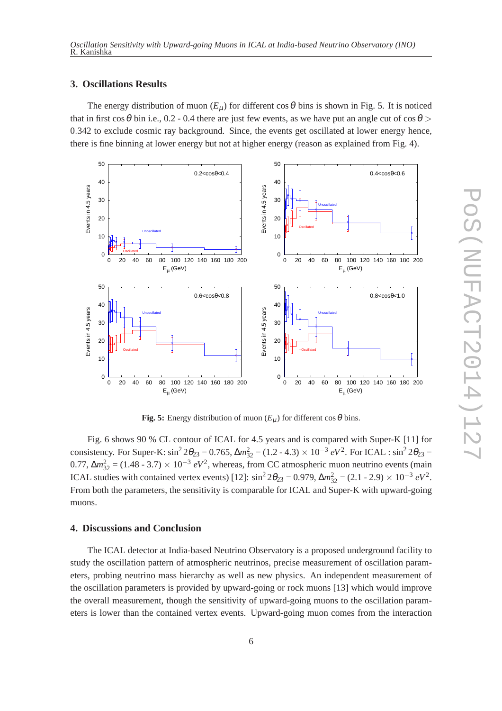## **3. Oscillations Results**

The energy distribution of muon  $(E_u)$  for different cos  $\theta$  bins is shown in Fig. 5. It is noticed that in first cos  $\theta$  bin i.e., 0.2 - 0.4 there are just few events, as we have put an angle cut of cos  $\theta$  > 0.342 to exclude cosmic ray background. Since, the events get oscillated at lower energy hence, there is fine binning at lower energy but not at higher energy (reason as explained from Fig. 4).



**Fig. 5:** Energy distribution of muon  $(E_{\mu})$  for different cos  $\theta$  bins.

Fig. 6 shows 90 % CL contour of ICAL for 4.5 years and is compared with Super-K [11] for consistency. For Super-K:  $\sin^2 2\theta_{23} = 0.765$ ,  $\Delta m_{32}^2 = (1.2 - 4.3) \times 10^{-3} eV^2$ . For ICAL :  $\sin^2 2\theta_{23} =$ 0.77,  $\Delta m_{32}^2 = (1.48 - 3.7) \times 10^{-3} eV^2$ , whereas, from CC atmospheric muon neutrino events (main ICAL studies with contained vertex events) [12]:  $\sin^2 2\theta_{23} = 0.979$ ,  $\Delta m_{32}^2 = (2.1 - 2.9) \times 10^{-3} eV^2$ . From both the parameters, the sensitivity is comparable for ICAL and Super-K with upward-going muons.

# **4. Discussions and Conclusion**

The ICAL detector at India-based Neutrino Observatory is a proposed underground facility to study the oscillation pattern of atmospheric neutrinos, precise measurement of oscillation parameters, probing neutrino mass hierarchy as well as new physics. An independent measurement of the oscillation parameters is provided by upward-going or rock muons [13] which would improve the overall measurement, though the sensitivity of upward-going muons to the oscillation parameters is lower than the contained vertex events. Upward-going muon comes from the interaction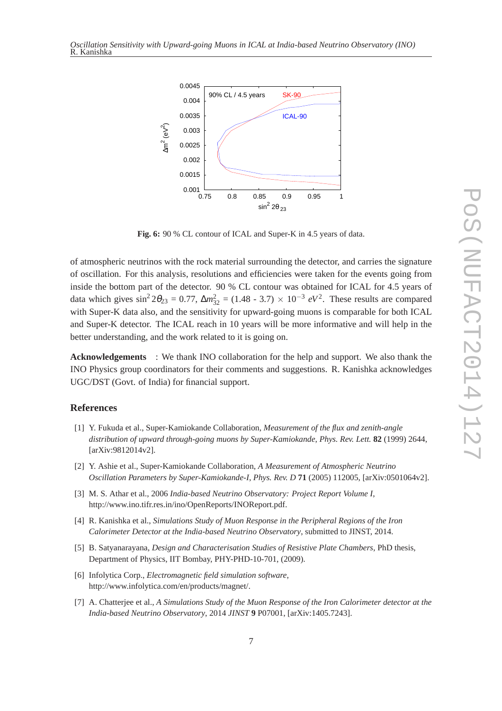

**Fig. 6:** 90 % CL contour of ICAL and Super-K in 4.5 years of data.

of atmospheric neutrinos with the rock material surrounding the detector, and carries the signature of oscillation. For this analysis, resolutions and efficiencies were taken for the events going from inside the bottom part of the detector. 90 % CL contour was obtained for ICAL for 4.5 years of data which gives  $\sin^2 2\theta_{23} = 0.77$ ,  $\Delta m_{32}^2 = (1.48 - 3.7) \times 10^{-3} eV^2$ . These results are compared with Super-K data also, and the sensitivity for upward-going muons is comparable for both ICAL and Super-K detector. The ICAL reach in 10 years will be more informative and will help in the better understanding, and the work related to it is going on.

**Acknowledgements** : We thank INO collaboration for the help and support. We also thank the INO Physics group coordinators for their comments and suggestions. R. Kanishka acknowledges UGC/DST (Govt. of India) for financial support.

## **References**

- [1] Y. Fukuda et al., Super-Kamiokande Collaboration, *Measurement of the flux and zenith-angle distribution of upward through-going muons by Super-Kamiokande*, *Phys. Rev. Lett.* **82** (1999) 2644, [arXiv:9812014v2].
- [2] Y. Ashie et al., Super-Kamiokande Collaboration, *A Measurement of Atmospheric Neutrino Oscillation Parameters by Super-Kamiokande-I*, *Phys. Rev. D* **71** (2005) 112005, [arXiv:0501064v2].
- [3] M. S. Athar et al., 2006 *India-based Neutrino Observatory: Project Report Volume I*, http://www.ino.tifr.res.in/ino/OpenReports/INOReport.pdf.
- [4] R. Kanishka et al., *Simulations Study of Muon Response in the Peripheral Regions of the Iron Calorimeter Detector at the India-based Neutrino Observatory*, submitted to JINST, 2014.
- [5] B. Satyanarayana, *Design and Characterisation Studies of Resistive Plate Chambers*, PhD thesis, Department of Physics, IIT Bombay, PHY-PHD-10-701, (2009).
- [6] Infolytica Corp., *Electromagnetic field simulation software*, http://www.infolytica.com/en/products/magnet/.
- [7] A. Chatterjee et al., *A Simulations Study of the Muon Response of the Iron Calorimeter detector at the India-based Neutrino Observatory*, 2014 *JINST* **9** P07001, [arXiv:1405.7243].